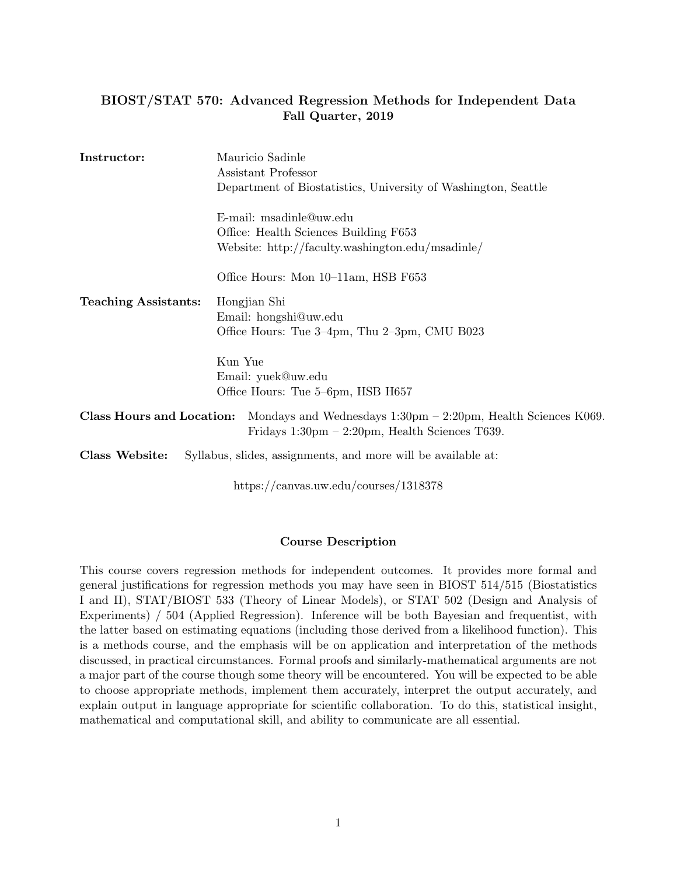# BIOST/STAT 570: Advanced Regression Methods for Independent Data Fall Quarter, 2019

| Instructor:                 | Mauricio Sadinle<br>Assistant Professor                                                                                                               |
|-----------------------------|-------------------------------------------------------------------------------------------------------------------------------------------------------|
|                             | Department of Biostatistics, University of Washington, Seattle                                                                                        |
|                             | E-mail: msadinle@uw.edu<br>Office: Health Sciences Building F653<br>Website: http://faculty.washington.edu/msadinle/                                  |
|                             | Office Hours: Mon 10–11am, HSB F653                                                                                                                   |
| <b>Teaching Assistants:</b> | Hongjian Shi<br>Email: hongshi@uw.edu<br>Office Hours: Tue 3–4pm, Thu 2–3pm, CMU B023                                                                 |
|                             | Kun Yue<br>Email: yuek@uw.edu<br>Office Hours: Tue 5–6pm, HSB H657                                                                                    |
| Class Hours and Location:   | Mondays and Wednesdays $1:30 \text{pm} - 2:20 \text{pm}$ , Health Sciences K069.<br>Fridays $1:30 \text{pm} - 2:20 \text{pm}$ , Health Sciences T639. |
| Class Website:              | Syllabus, slides, assignments, and more will be available at:                                                                                         |

https://canvas.uw.edu/courses/1318378

## Course Description

This course covers regression methods for independent outcomes. It provides more formal and general justifications for regression methods you may have seen in BIOST 514/515 (Biostatistics I and II), STAT/BIOST 533 (Theory of Linear Models), or STAT 502 (Design and Analysis of Experiments) / 504 (Applied Regression). Inference will be both Bayesian and frequentist, with the latter based on estimating equations (including those derived from a likelihood function). This is a methods course, and the emphasis will be on application and interpretation of the methods discussed, in practical circumstances. Formal proofs and similarly-mathematical arguments are not a major part of the course though some theory will be encountered. You will be expected to be able to choose appropriate methods, implement them accurately, interpret the output accurately, and explain output in language appropriate for scientific collaboration. To do this, statistical insight, mathematical and computational skill, and ability to communicate are all essential.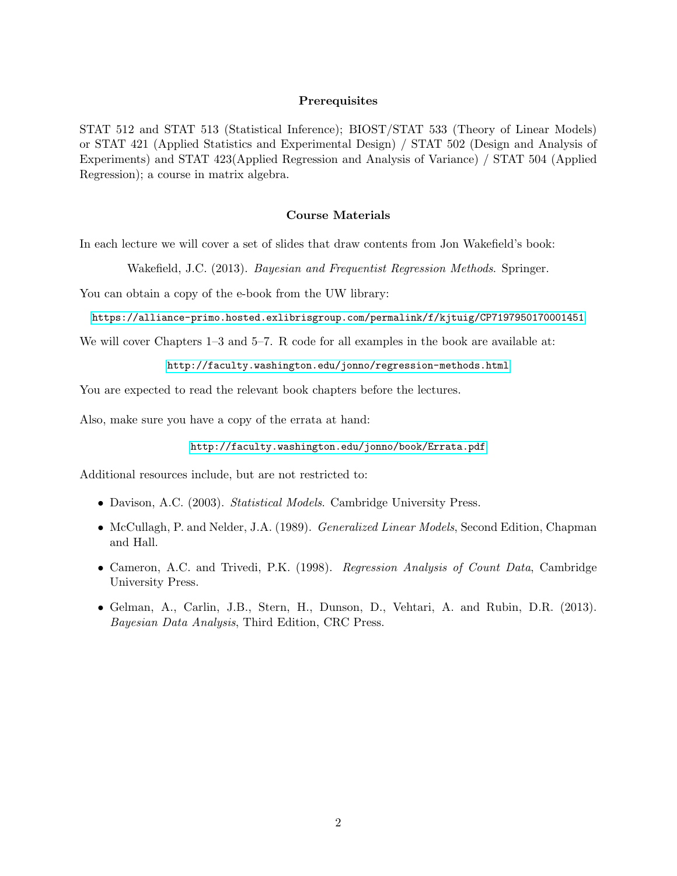### Prerequisites

STAT 512 and STAT 513 (Statistical Inference); BIOST/STAT 533 (Theory of Linear Models) or STAT 421 (Applied Statistics and Experimental Design) / STAT 502 (Design and Analysis of Experiments) and STAT 423(Applied Regression and Analysis of Variance) / STAT 504 (Applied Regression); a course in matrix algebra.

### Course Materials

In each lecture we will cover a set of slides that draw contents from Jon Wakefield's book:

Wakefield, J.C. (2013). Bayesian and Frequentist Regression Methods. Springer.

You can obtain a copy of the e-book from the UW library:

<https://alliance-primo.hosted.exlibrisgroup.com/permalink/f/kjtuig/CP7197950170001451>

We will cover Chapters 1–3 and 5–7. R code for all examples in the book are available at:

[http://faculty.washington.edu/jonno/regression-methods.html]( http://faculty.washington.edu/jonno/regression-methods.html )

You are expected to read the relevant book chapters before the lectures.

Also, make sure you have a copy of the errata at hand:

[http://faculty.washington.edu/jonno/book/Errata.pdf]( http://faculty.washington.edu/jonno/book/Errata.pdf )

Additional resources include, but are not restricted to:

- Davison, A.C. (2003). Statistical Models. Cambridge University Press.
- McCullagh, P. and Nelder, J.A. (1989). Generalized Linear Models, Second Edition, Chapman and Hall.
- Cameron, A.C. and Trivedi, P.K. (1998). Regression Analysis of Count Data, Cambridge University Press.
- Gelman, A., Carlin, J.B., Stern, H., Dunson, D., Vehtari, A. and Rubin, D.R. (2013). Bayesian Data Analysis, Third Edition, CRC Press.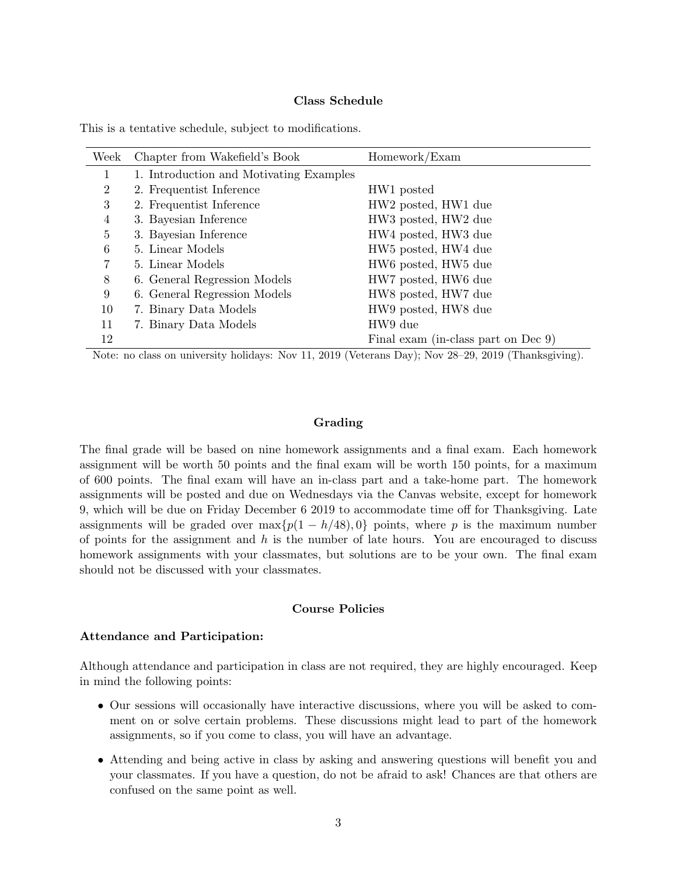#### Class Schedule

| Week           | Chapter from Wakefield's Book           | Homework/Exam                               |
|----------------|-----------------------------------------|---------------------------------------------|
| 1              | 1. Introduction and Motivating Examples |                                             |
| $\overline{2}$ | 2. Frequentist Inference                | HW1 posted                                  |
| 3              | 2. Frequentist Inference                | HW <sub>2</sub> posted, HW <sub>1</sub> due |
| 4              | 3. Bayesian Inference                   | HW3 posted, HW2 due                         |
| 5              | 3. Bayesian Inference                   | HW4 posted, HW3 due                         |
| 6              | 5. Linear Models                        | HW <sub>5</sub> posted, HW <sub>4</sub> due |
| 7              | 5. Linear Models                        | HW6 posted, HW5 due                         |
| 8              | 6. General Regression Models            | HW7 posted, HW6 due                         |
| 9              | 6. General Regression Models            | HW8 posted, HW7 due                         |
| 10             | 7. Binary Data Models                   | HW9 posted, HW8 due                         |
| 11             | 7. Binary Data Models                   | HW9 due                                     |
| 12             |                                         | Final exam (in-class part on Dec 9)         |

This is a tentative schedule, subject to modifications.

Note: no class on university holidays: Nov 11, 2019 (Veterans Day); Nov 28–29, 2019 (Thanksgiving).

#### Grading

The final grade will be based on nine homework assignments and a final exam. Each homework assignment will be worth 50 points and the final exam will be worth 150 points, for a maximum of 600 points. The final exam will have an in-class part and a take-home part. The homework assignments will be posted and due on Wednesdays via the Canvas website, except for homework 9, which will be due on Friday December 6 2019 to accommodate time off for Thanksgiving. Late assignments will be graded over  $\max\{p(1 - h/48), 0\}$  points, where p is the maximum number of points for the assignment and  $h$  is the number of late hours. You are encouraged to discuss homework assignments with your classmates, but solutions are to be your own. The final exam should not be discussed with your classmates.

## Course Policies

#### Attendance and Participation:

Although attendance and participation in class are not required, they are highly encouraged. Keep in mind the following points:

- Our sessions will occasionally have interactive discussions, where you will be asked to comment on or solve certain problems. These discussions might lead to part of the homework assignments, so if you come to class, you will have an advantage.
- Attending and being active in class by asking and answering questions will benefit you and your classmates. If you have a question, do not be afraid to ask! Chances are that others are confused on the same point as well.